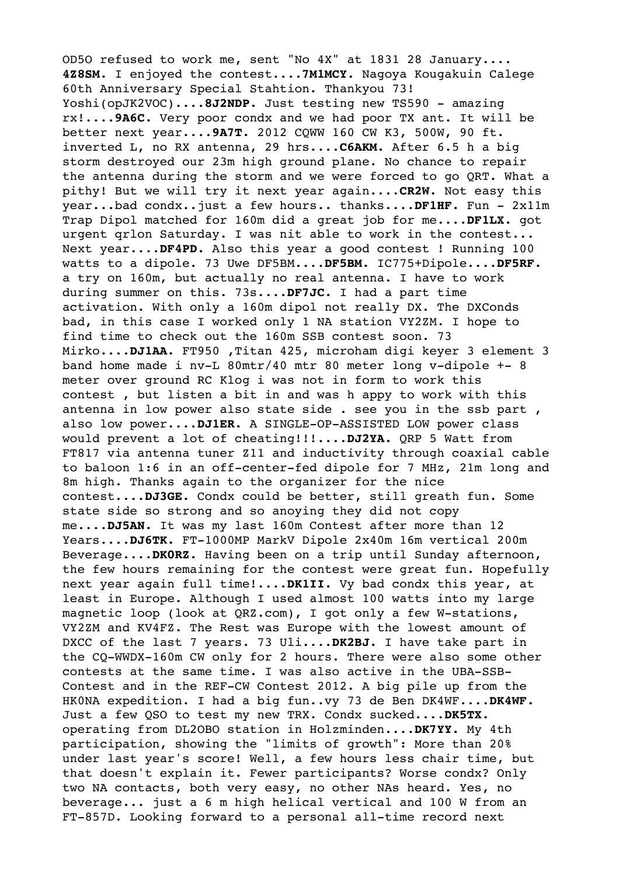OD5O refused to work me, sent "No 4X" at 1831 28 January.... **4Z8SM.** I enjoyed the contest....**7M1MCY.** Nagoya Kougakuin Calege 60th Anniversary Special Stahtion. Thankyou 73! Yoshi(opJK2VOC)....8J2NDP. Just testing new TS590 - amazing rx!....**9A6C.** Very poor condx and we had poor TX ant. It will be better next year....**9A7T.** 2012 CQWW 160 CW K3, 500W, 90 ft. inverted L, no RX antenna, 29 hrs....**C6AKM.** After 6.5 h a big storm destroyed our 23m high ground plane. No chance to repair the antenna during the storm and we were forced to go QRT. What a pithy! But we will try it next year again....**CR2W.** Not easy this year...bad condx..just a few hours.. thanks....**DF1HF.** Fun - 2x11m Trap Dipol matched for 160m did a great job for me....**DF1LX.** got urgent grlon Saturday. I was nit able to work in the contest... Next year....**DF4PD.** Also this year a good contest ! Running 100 watts to a dipole. 73 Uwe DF5BM....**DF5BM.** IC775+Dipole....**DF5RF.** a try on 160m, but actually no real antenna. I have to work during summer on this. 73s....**DF7JC.** I had a part time activation. With only a 160m dipol not really DX. The DXConds bad, in this case I worked only 1 NA station VY2ZM. I hope to find time to check out the 160m SSB contest soon. 73 Mirko....**DJ1AA.** FT950 ,Titan 425, microham digi keyer 3 element 3 band home made i nv-L 80mtr/40 mtr 80 meter long v-dipole +- 8 meter over ground RC Klog i was not in form to work this contest , but listen a bit in and was h appy to work with this antenna in low power also state side . see you in the ssb part , also low power....**DJ1ER.** A SINGLE-OP-ASSISTED LOW power class would prevent a lot of cheating!!!....**DJ2YA.** QRP 5 Watt from FT817 via antenna tuner Z11 and inductivity through coaxial cable to baloon 1:6 in an off-center-fed dipole for 7 MHz, 21m long and 8m high. Thanks again to the organizer for the nice contest....**DJ3GE.** Condx could be better, still greath fun. Some state side so strong and so anoying they did not copy me....**DJ5AN.** It was my last 160m Contest after more than 12 Years....**DJ6TK.** FT-1000MP MarkV Dipole 2x40m 16m vertical 200m Beverage....**DK0RZ.** Having been on a trip until Sunday afternoon, the few hours remaining for the contest were great fun. Hopefully next year again full time!....**DK1II.** Vy bad condx this year, at least in Europe. Although I used almost 100 watts into my large magnetic loop (look at QRZ.com), I got only a few W-stations, VY2ZM and KV4FZ. The Rest was Europe with the lowest amount of DXCC of the last 7 years. 73 Uli....**DK2BJ.** I have take part in the CQ-WWDX-160m CW only for 2 hours. There were also some other contests at the same time. I was also active in the UBA-SSB-Contest and in the REF-CW Contest 2012. A big pile up from the HK0NA expedition. I had a big fun..vy 73 de Ben DK4WF....**DK4WF.** Just a few QSO to test my new TRX. Condx sucked....**DK5TX.** operating from DL2OBO station in Holzminden....**DK7YY.** My 4th participation, showing the "limits of growth": More than 20% under last year's score! Well, a few hours less chair time, but that doesn't explain it. Fewer participants? Worse condx? Only two NA contacts, both very easy, no other NAs heard. Yes, no beverage... just a 6 m high helical vertical and 100 W from an FT-857D. Looking forward to a personal all-time record next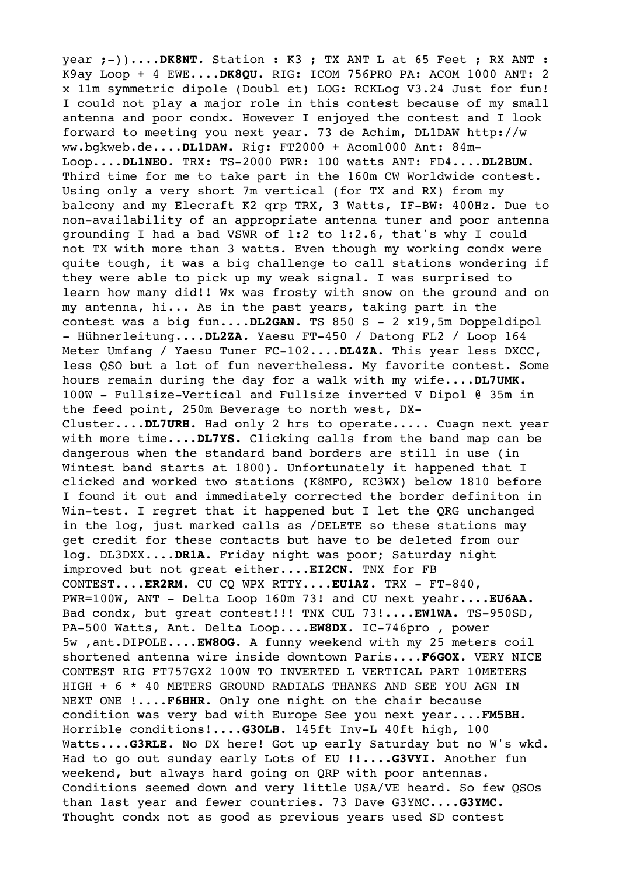year ;-))....DK8NT. Station : K3 ; TX ANT L at 65 Feet ; RX ANT : K9ay Loop + 4 EWE....**DK8QU.** RIG: ICOM 756PRO PA: ACOM 1000 ANT: 2 x 11m symmetric dipole (Doubl et) LOG: RCKLog V3.24 Just for fun! I could not play a major role in this contest because of my small antenna and poor condx. However I enjoyed the contest and I look forward to meeting you next year. 73 de Achim, DL1DAW http://w ww.bgkweb.de....**DL1DAW.** Rig: FT2000 + Acom1000 Ant: 84m-Loop....**DL1NEO.** TRX: TS-2000 PWR: 100 watts ANT: FD4....**DL2BUM.** Third time for me to take part in the 160m CW Worldwide contest. Using only a very short 7m vertical (for TX and RX) from my balcony and my Elecraft K2 qrp TRX, 3 Watts, IF-BW: 400Hz. Due to non-availability of an appropriate antenna tuner and poor antenna grounding I had a bad VSWR of 1:2 to 1:2.6, that's why I could not TX with more than 3 watts. Even though my working condx were quite tough, it was a big challenge to call stations wondering if they were able to pick up my weak signal. I was surprised to learn how many did!! Wx was frosty with snow on the ground and on my antenna, hi... As in the past years, taking part in the contest was a big fun....**DL2GAN.** TS 850 S - 2 x19,5m Doppeldipol - Hühnerleitung....**DL2ZA.** Yaesu FT-450 / Datong FL2 / Loop 164 Meter Umfang / Yaesu Tuner FC-102....**DL4ZA.** This year less DXCC, less QSO but a lot of fun nevertheless. My favorite contest. Some hours remain during the day for a walk with my wife....**DL7UMK.** 100W - Fullsize-Vertical and Fullsize inverted V Dipol @ 35m in the feed point, 250m Beverage to north west, DX-Cluster....**DL7URH.** Had only 2 hrs to operate..... Cuagn next year with more time....**DL7YS.** Clicking calls from the band map can be dangerous when the standard band borders are still in use (in Wintest band starts at 1800). Unfortunately it happened that I clicked and worked two stations (K8MFO, KC3WX) below 1810 before I found it out and immediately corrected the border definiton in Win-test. I regret that it happened but I let the QRG unchanged in the log, just marked calls as /DELETE so these stations may get credit for these contacts but have to be deleted from our log. DL3DXX....**DR1A.** Friday night was poor; Saturday night improved but not great either....**EI2CN.** TNX for FB CONTEST....**ER2RM.** CU CQ WPX RTTY....**EU1AZ.** TRX - FT-840, PWR=100W, ANT - Delta Loop 160m 73! and CU next yeahr....**EU6AA.** Bad condx, but great contest!!! TNX CUL 73!....**EW1WA.** TS-950SD, PA-500 Watts, Ant. Delta Loop....**EW8DX.** IC-746pro , power 5w ,ant.DIPOLE....**EW8OG.** A funny weekend with my 25 meters coil shortened antenna wire inside downtown Paris....**F6GOX.** VERY NICE CONTEST RIG FT757GX2 100W TO INVERTED L VERTICAL PART 10METERS HIGH + 6 \* 40 METERS GROUND RADIALS THANKS AND SEE YOU AGN IN NEXT ONE !....**F6HHR.** Only one night on the chair because condition was very bad with Europe See you next year....**FM5BH.** Horrible conditions!....**G3OLB.** 145ft Inv-L 40ft high, 100 Watts....**G3RLE.** No DX here! Got up early Saturday but no W's wkd. Had to go out sunday early Lots of EU !!....**G3VYI.** Another fun weekend, but always hard going on QRP with poor antennas. Conditions seemed down and very little USA/VE heard. So few QSOs than last year and fewer countries. 73 Dave G3YMC....**G3YMC.** Thought condx not as good as previous years used SD contest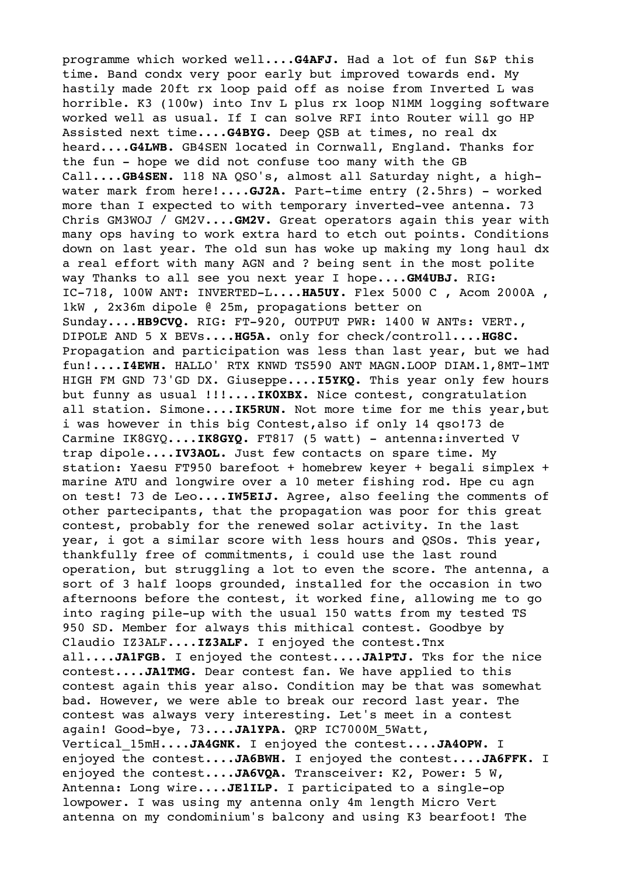programme which worked well....**G4AFJ.** Had a lot of fun S&P this time. Band condx very poor early but improved towards end. My hastily made 20ft rx loop paid off as noise from Inverted L was horrible. K3 (100w) into Inv L plus rx loop N1MM logging software worked well as usual. If I can solve RFI into Router will go HP Assisted next time....**G4BYG.** Deep QSB at times, no real dx heard....**G4LWB.** GB4SEN located in Cornwall, England. Thanks for the fun - hope we did not confuse too many with the GB Call....**GB4SEN.** 118 NA QSO's, almost all Saturday night, a highwater mark from here!....**GJ2A.** Part-time entry (2.5hrs) - worked more than I expected to with temporary inverted-vee antenna. 73 Chris GM3WOJ / GM2V....**GM2V.** Great operators again this year with many ops having to work extra hard to etch out points. Conditions down on last year. The old sun has woke up making my long haul dx a real effort with many AGN and ? being sent in the most polite way Thanks to all see you next year I hope....**GM4UBJ.** RIG: IC-718, 100W ANT: INVERTED-L....**HA5UY.** Flex 5000 C , Acom 2000A , 1kW , 2x36m dipole @ 25m, propagations better on Sunday....**HB9CVQ.** RIG: FT-920, OUTPUT PWR: 1400 W ANTs: VERT., DIPOLE AND 5 X BEVs....**HG5A.** only for check/controll....**HG8C.** Propagation and participation was less than last year, but we had fun!....**I4EWH.** HALLO' RTX KNWD TS590 ANT MAGN.LOOP DIAM.1,8MT-1MT HIGH FM GND 73'GD DX. Giuseppe....**I5YKQ.** This year only few hours but funny as usual !!!....**IK0XBX.** Nice contest, congratulation all station. Simone....**IK5RUN.** Not more time for me this year,but i was however in this big Contest,also if only 14 qso!73 de Carmine IK8GYQ....IK8GYQ. FT817 (5 watt) - antenna: inverted V trap dipole....**IV3AOL.** Just few contacts on spare time. My station: Yaesu FT950 barefoot + homebrew keyer + begali simplex + marine ATU and longwire over a 10 meter fishing rod. Hpe cu agn on test! 73 de Leo....**IW5EIJ.** Agree, also feeling the comments of other partecipants, that the propagation was poor for this great contest, probably for the renewed solar activity. In the last year, i got a similar score with less hours and QSOs. This year, thankfully free of commitments, i could use the last round operation, but struggling a lot to even the score. The antenna, a sort of 3 half loops grounded, installed for the occasion in two afternoons before the contest, it worked fine, allowing me to go into raging pile-up with the usual 150 watts from my tested TS 950 SD. Member for always this mithical contest. Goodbye by Claudio IZ3ALF....**IZ3ALF.** I enjoyed the contest.Tnx all....**JA1FGB.** I enjoyed the contest....**JA1PTJ.** Tks for the nice contest....**JA1TMG.** Dear contest fan. We have applied to this contest again this year also. Condition may be that was somewhat bad. However, we were able to break our record last year. The contest was always very interesting. Let's meet in a contest again! Good-bye, 73....**JA1YPA.** QRP IC7000M\_5Watt, Vertical\_15mH....**JA4GNK.** I enjoyed the contest....**JA4OPW.** I enjoyed the contest....**JA6BWH.** I enjoyed the contest....**JA6FFK.** I enjoyed the contest....**JA6VQA.** Transceiver: K2, Power: 5 W, Antenna: Long wire....**JE1ILP.** I participated to a single-op lowpower. I was using my antenna only 4m length Micro Vert antenna on my condominium's balcony and using K3 bearfoot! The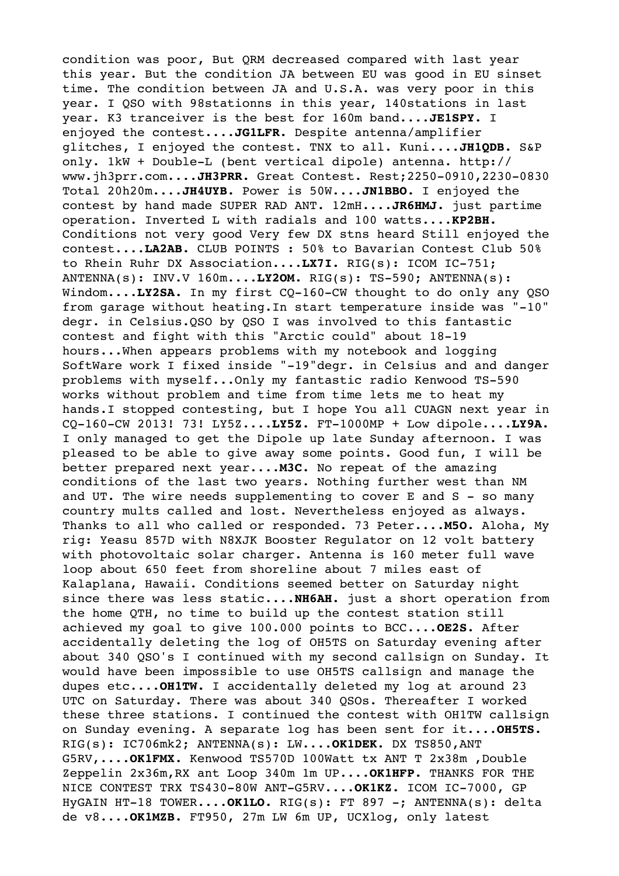condition was poor, But QRM decreased compared with last year this year. But the condition JA between EU was good in EU sinset time. The condition between JA and U.S.A. was very poor in this year. I QSO with 98stationns in this year, 140stations in last year. K3 tranceiver is the best for 160m band....**JE1SPY.** I enjoyed the contest....**JG1LFR.** Despite antenna/amplifier glitches, I enjoyed the contest. TNX to all. Kuni....**JH1QDB.** S&P only. 1kW + Double-L (bent vertical dipole) antenna. http:// www.jh3prr.com....**JH3PRR.** Great Contest. Rest;2250-0910,2230-0830 Total 20h20m....**JH4UYB.** Power is 50W....**JN1BBO.** I enjoyed the contest by hand made SUPER RAD ANT. 12mH....**JR6HMJ.** just partime operation. Inverted L with radials and 100 watts....**KP2BH.** Conditions not very good Very few DX stns heard Still enjoyed the contest....**LA2AB.** CLUB POINTS : 50% to Bavarian Contest Club 50% to Rhein Ruhr DX Association....**LX7I.** RIG(s): ICOM IC-751; ANTENNA(s): INV.V 160m....**LY2OM.** RIG(s): TS-590; ANTENNA(s): Windom....LY2SA. In my first CQ-160-CW thought to do only any QSO from garage without heating.In start temperature inside was "-10" degr. in Celsius.QSO by QSO I was involved to this fantastic contest and fight with this "Arctic could" about 18-19 hours...When appears problems with my notebook and logging SoftWare work I fixed inside "-19"degr. in Celsius and and danger problems with myself...Only my fantastic radio Kenwood TS-590 works without problem and time from time lets me to heat my hands.I stopped contesting, but I hope You all CUAGN next year in CQ-160-CW 2013! 73! LY5Z....**LY5Z.** FT-1000MP + Low dipole....**LY9A.** I only managed to get the Dipole up late Sunday afternoon. I was pleased to be able to give away some points. Good fun, I will be better prepared next year....**M3C.** No repeat of the amazing conditions of the last two years. Nothing further west than NM and UT. The wire needs supplementing to cover E and S - so many country mults called and lost. Nevertheless enjoyed as always. Thanks to all who called or responded. 73 Peter....**M5O.** Aloha, My rig: Yeasu 857D with N8XJK Booster Regulator on 12 volt battery with photovoltaic solar charger. Antenna is 160 meter full wave loop about 650 feet from shoreline about 7 miles east of Kalaplana, Hawaii. Conditions seemed better on Saturday night since there was less static....**NH6AH.** just a short operation from the home QTH, no time to build up the contest station still achieved my goal to give 100.000 points to BCC....**OE2S.** After accidentally deleting the log of OH5TS on Saturday evening after about 340 QSO's I continued with my second callsign on Sunday. It would have been impossible to use OH5TS callsign and manage the dupes etc....**OH1TW.** I accidentally deleted my log at around 23 UTC on Saturday. There was about 340 QSOs. Thereafter I worked these three stations. I continued the contest with OH1TW callsign on Sunday evening. A separate log has been sent for it....**OH5TS.** RIG(s): IC706mk2; ANTENNA(s): LW....**OK1DEK.** DX TS850,ANT G5RV,....**OK1FMX.** Kenwood TS570D 100Watt tx ANT T 2x38m ,Double Zeppelin 2x36m,RX ant Loop 340m 1m UP....**OK1HFP.** THANKS FOR THE NICE CONTEST TRX TS430-80W ANT-G5RV....**OK1KZ.** ICOM IC-7000, GP HyGAIN HT-18 TOWER....**OK1LO.** RIG(s): FT 897 -; ANTENNA(s): delta de v8....**OK1MZB.** FT950, 27m LW 6m UP, UCXlog, only latest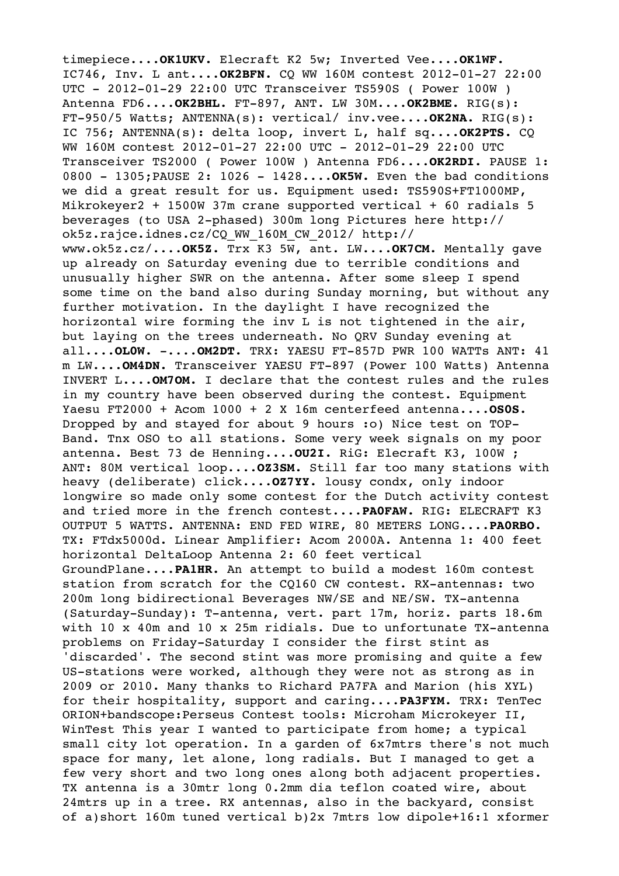timepiece....**OK1UKV.** Elecraft K2 5w; Inverted Vee....**OK1WF.** IC746, Inv. L ant....**OK2BFN.** CQ WW 160M contest 2012-01-27 22:00 UTC - 2012-01-29 22:00 UTC Transceiver TS590S ( Power 100W ) Antenna FD6....**OK2BHL.** FT-897, ANT. LW 30M....**OK2BME.** RIG(s): FT-950/5 Watts; ANTENNA(s): vertical/ inv.vee....**OK2NA.** RIG(s): IC 756; ANTENNA(s): delta loop, invert L, half sq....**OK2PTS.** CQ WW 160M contest 2012-01-27 22:00 UTC - 2012-01-29 22:00 UTC Transceiver TS2000 ( Power 100W ) Antenna FD6....**OK2RDI.** PAUSE 1: 0800 - 1305;PAUSE 2: 1026 - 1428....**OK5W.** Even the bad conditions we did a great result for us. Equipment used: TS590S+FT1000MP, Mikrokeyer2 + 1500W 37m crane supported vertical + 60 radials 5 beverages (to USA 2-phased) 300m long Pictures here http:// ok5z.rajce.idnes.cz/CQ\_WW\_160M\_CW\_2012/ http:// www.ok5z.cz/....**OK5Z.** Trx K3 5W, ant. LW....**OK7CM.** Mentally gave up already on Saturday evening due to terrible conditions and unusually higher SWR on the antenna. After some sleep I spend some time on the band also during Sunday morning, but without any further motivation. In the daylight I have recognized the horizontal wire forming the inv L is not tightened in the air, but laying on the trees underneath. No QRV Sunday evening at all....**OL0W.** -....**OM2DT.** TRX: YAESU FT-857D PWR 100 WATTs ANT: 41 m LW....**OM4DN.** Transceiver YAESU FT-897 (Power 100 Watts) Antenna INVERT L....**OM7OM.** I declare that the contest rules and the rules in my country have been observed during the contest. Equipment Yaesu FT2000 + Acom 1000 + 2 X 16m centerfeed antenna....**OS0S.** Dropped by and stayed for about 9 hours :o) Nice test on TOP-Band. Tnx OSO to all stations. Some very week signals on my poor antenna. Best 73 de Henning....**OU2I.** RiG: Elecraft K3, 100W ; ANT: 80M vertical loop....**OZ3SM.** Still far too many stations with heavy (deliberate) click....**OZ7YY.** lousy condx, only indoor longwire so made only some contest for the Dutch activity contest and tried more in the french contest....**PA0FAW.** RIG: ELECRAFT K3 OUTPUT 5 WATTS. ANTENNA: END FED WIRE, 80 METERS LONG....**PA0RBO.** TX: FTdx5000d. Linear Amplifier: Acom 2000A. Antenna 1: 400 feet horizontal DeltaLoop Antenna 2: 60 feet vertical GroundPlane....**PA1HR.** An attempt to build a modest 160m contest station from scratch for the CQ160 CW contest. RX-antennas: two 200m long bidirectional Beverages NW/SE and NE/SW. TX-antenna (Saturday-Sunday): T-antenna, vert. part 17m, horiz. parts 18.6m with 10 x 40m and 10 x 25m ridials. Due to unfortunate TX-antenna problems on Friday-Saturday I consider the first stint as 'discarded'. The second stint was more promising and quite a few US-stations were worked, although they were not as strong as in 2009 or 2010. Many thanks to Richard PA7FA and Marion (his XYL) for their hospitality, support and caring....**PA3FYM.** TRX: TenTec ORION+bandscope:Perseus Contest tools: Microham Microkeyer II, WinTest This year I wanted to participate from home; a typical small city lot operation. In a garden of 6x7mtrs there's not much space for many, let alone, long radials. But I managed to get a few very short and two long ones along both adjacent properties. TX antenna is a 30mtr long 0.2mm dia teflon coated wire, about 24mtrs up in a tree. RX antennas, also in the backyard, consist of a)short 160m tuned vertical b)2x 7mtrs low dipole+16:1 xformer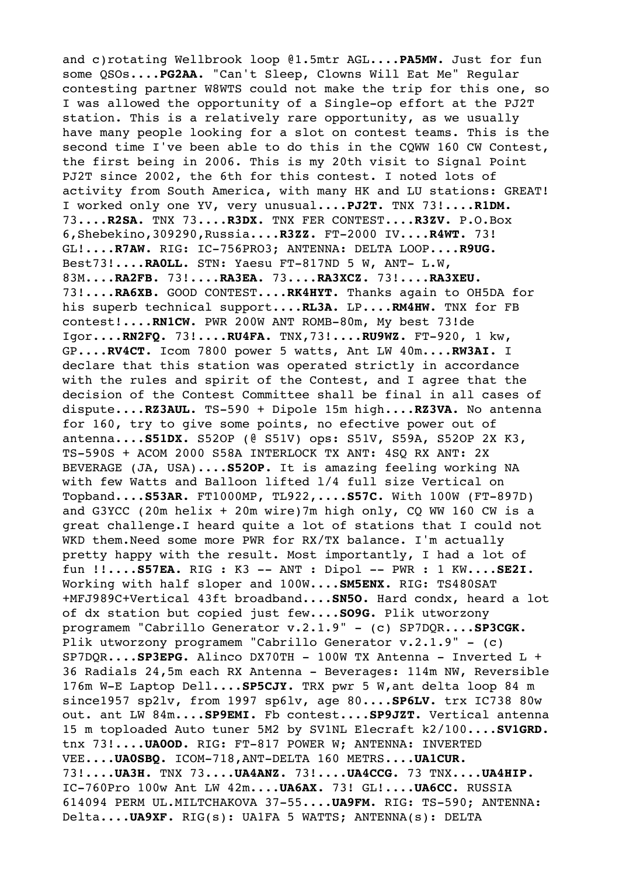and c)rotating Wellbrook loop @1.5mtr AGL....**PA5MW.** Just for fun some QSOs....**PG2AA.** "Can't Sleep, Clowns Will Eat Me" Regular contesting partner W8WTS could not make the trip for this one, so I was allowed the opportunity of a Single-op effort at the PJ2T station. This is a relatively rare opportunity, as we usually have many people looking for a slot on contest teams. This is the second time I've been able to do this in the CQWW 160 CW Contest, the first being in 2006. This is my 20th visit to Signal Point PJ2T since 2002, the 6th for this contest. I noted lots of activity from South America, with many HK and LU stations: GREAT! I worked only one YV, very unusual....**PJ2T.** TNX 73!....**R1DM.** 73....**R2SA.** TNX 73....**R3DX.** TNX FER CONTEST....**R3ZV.** P.O.Box 6,Shebekino,309290,Russia....**R3ZZ.** FT-2000 IV....**R4WT.** 73! GL!....**R7AW.** RIG: IC-756PRO3; ANTENNA: DELTA LOOP....**R9UG.** Best73!....**RA0LL.** STN: Yaesu FT-817ND 5 W, ANT- L.W, 83M....**RA2FB.** 73!....**RA3EA.** 73....**RA3XCZ.** 73!....**RA3XEU.** 73!....**RA6XB.** GOOD CONTEST....**RK4HYT.** Thanks again to OH5DA for his superb technical support....**RL3A.** LP....**RM4HW.** TNX for FB contest!....**RN1CW.** PWR 200W ANT ROMB-80m, My best 73!de Igor....**RN2FQ.** 73!....**RU4FA.** TNX,73!....**RU9WZ.** FT-920, 1 kw, GP....**RV4CT.** Icom 7800 power 5 watts, Ant LW 40m....**RW3AI.** I declare that this station was operated strictly in accordance with the rules and spirit of the Contest, and I agree that the decision of the Contest Committee shall be final in all cases of dispute....**RZ3AUL.** TS-590 + Dipole 15m high....**RZ3VA.** No antenna for 160, try to give some points, no efective power out of antenna....**S51DX.** S52OP (@ S51V) ops: S51V, S59A, S52OP 2X K3, TS-590S + ACOM 2000 S58A INTERLOCK TX ANT: 4SQ RX ANT: 2X BEVERAGE (JA, USA)....**S52OP.** It is amazing feeling working NA with few Watts and Balloon lifted l/4 full size Vertical on Topband....**S53AR.** FT1000MP, TL922,....**S57C.** With 100W (FT-897D) and G3YCC (20m helix  $+$  20m wire)7m high only, CQ WW 160 CW is a great challenge.I heard quite a lot of stations that I could not WKD them.Need some more PWR for RX/TX balance. I'm actually pretty happy with the result. Most importantly, I had a lot of fun !!....**S57EA.** RIG : K3 -- ANT : Dipol -- PWR : 1 KW....**SE2I.** Working with half sloper and 100W....**SM5ENX.** RIG: TS480SAT +MFJ989C+Vertical 43ft broadband....**SN5O.** Hard condx, heard a lot of dx station but copied just few....**SO9G.** Plik utworzony programem "Cabrillo Generator v.2.1.9" - (c) SP7DQR....**SP3CGK.** Plik utworzony programem "Cabrillo Generator v.2.1.9" - (c) SP7DQR....**SP3EPG.** Alinco DX70TH - 100W TX Antenna - Inverted L + 36 Radials 24,5m each RX Antenna - Beverages: 114m NW, Reversible 176m W-E Laptop Dell....**SP5CJY.** TRX pwr 5 W,ant delta loop 84 m since1957 sp2lv, from 1997 sp6lv, age 80....**SP6LV.** trx IC738 80w out. ant LW 84m....**SP9EMI.** Fb contest....**SP9JZT.** Vertical antenna 15 m toploaded Auto tuner 5M2 by SV1NL Elecraft k2/100....**SV1GRD.** tnx 73!....**UA0OD.** RIG: FT-817 POWER W; ANTENNA: INVERTED VEE....**UA0SBQ.** ICOM-718,ANT-DELTA 160 METRS....**UA1CUR.** 73!....**UA3H.** TNX 73....**UA4ANZ.** 73!....**UA4CCG.** 73 TNX....**UA4HIP.** IC-760Pro 100w Ant LW 42m....**UA6AX.** 73! GL!....**UA6CC.** RUSSIA 614094 PERM UL.MILTCHAKOVA 37-55....**UA9FM.** RIG: TS-590; ANTENNA: Delta....**UA9XF.** RIG(s): UA1FA 5 WATTS; ANTENNA(s): DELTA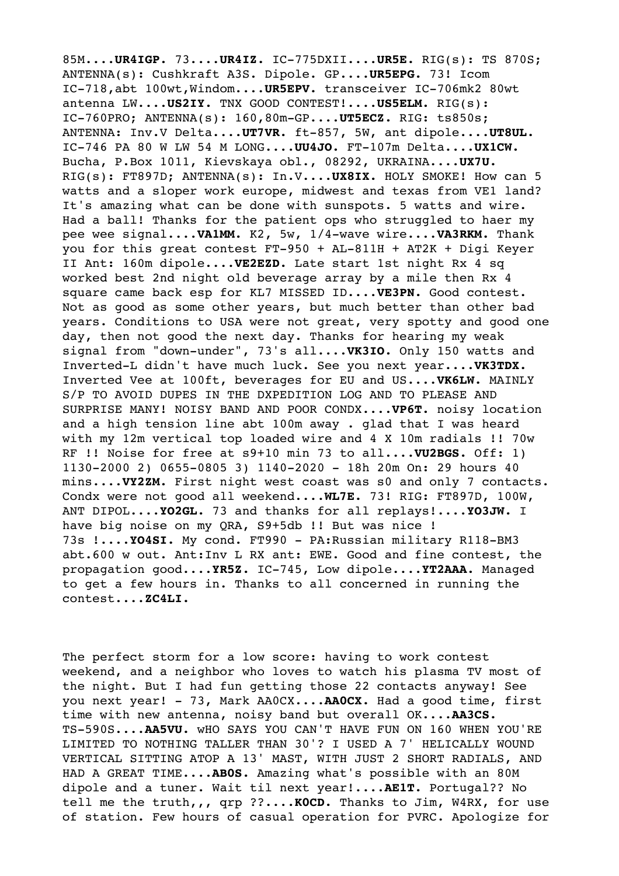85M....**UR4IGP.** 73....**UR4IZ.** IC-775DXII....**UR5E.** RIG(s): TS 870S; ANTENNA(s): Cushkraft A3S. Dipole. GP....**UR5EPG.** 73! Icom IC-718,abt 100wt,Windom....**UR5EPV.** transceiver IC-706mk2 80wt antenna LW....**US2IY.** TNX GOOD CONTEST!....**US5ELM.** RIG(s): IC-760PRO; ANTENNA(s): 160,80m-GP....**UT5ECZ.** RIG: ts850s; ANTENNA: Inv.V Delta....**UT7VR.** ft-857, 5W, ant dipole....**UT8UL.** IC-746 PA 80 W LW 54 M LONG....**UU4JO.** FT-107m Delta....**UX1CW.** Bucha, P.Box 1011, Kievskaya obl., 08292, UKRAINA....**UX7U.** RIG(s): FT897D; ANTENNA(s): In.V....**UX8IX.** HOLY SMOKE! How can 5 watts and a sloper work europe, midwest and texas from VE1 land? It's amazing what can be done with sunspots. 5 watts and wire. Had a ball! Thanks for the patient ops who struggled to haer my pee wee signal....**VA1MM.** K2, 5w, 1/4-wave wire....**VA3RKM.** Thank you for this great contest FT-950 + AL-811H + AT2K + Digi Keyer II Ant: 160m dipole....**VE2EZD.** Late start 1st night Rx 4 sq worked best 2nd night old beverage array by a mile then Rx 4 square came back esp for KL7 MISSED ID....**VE3PN.** Good contest. Not as good as some other years, but much better than other bad years. Conditions to USA were not great, very spotty and good one day, then not good the next day. Thanks for hearing my weak signal from "down-under", 73's all....**VK3IO.** Only 150 watts and Inverted-L didn't have much luck. See you next year....**VK3TDX.** Inverted Vee at 100ft, beverages for EU and US....**VK6LW.** MAINLY S/P TO AVOID DUPES IN THE DXPEDITION LOG AND TO PLEASE AND SURPRISE MANY! NOISY BAND AND POOR CONDX....**VP6T.** noisy location and a high tension line abt 100m away . glad that I was heard with my 12m vertical top loaded wire and 4 X 10m radials !! 70w RF !! Noise for free at s9+10 min 73 to all....**VU2BGS.** Off: 1) 1130-2000 2) 0655-0805 3) 1140-2020 - 18h 20m On: 29 hours 40 mins....**VY2ZM.** First night west coast was s0 and only 7 contacts. Condx were not good all weekend....**WL7E.** 73! RIG: FT897D, 100W, ANT DIPOL....**YO2GL.** 73 and thanks for all replays!....**YO3JW.** I have big noise on my QRA, S9+5db !! But was nice ! 73s !....**YO4SI.** My cond. FT990 - PA:Russian military R118-BM3 abt.600 w out. Ant:Inv L RX ant: EWE. Good and fine contest, the propagation good....**YR5Z.** IC-745, Low dipole....**YT2AAA.** Managed to get a few hours in. Thanks to all concerned in running the contest....**ZC4LI.**

The perfect storm for a low score: having to work contest weekend, and a neighbor who loves to watch his plasma TV most of the night. But I had fun getting those 22 contacts anyway! See you next year! - 73, Mark AA0CX....**AA0CX.** Had a good time, first time with new antenna, noisy band but overall OK....**AA3CS.** TS-590S....**AA5VU.** wHO SAYS YOU CAN'T HAVE FUN ON 160 WHEN YOU'RE LIMITED TO NOTHING TALLER THAN 30'? I USED A 7' HELICALLY WOUND VERTICAL SITTING ATOP A 13' MAST, WITH JUST 2 SHORT RADIALS, AND HAD A GREAT TIME....**AB0S.** Amazing what's possible with an 80M dipole and a tuner. Wait til next year!....**AE1T.** Portugal?? No tell me the truth,,, qrp ??....**K0CD.** Thanks to Jim, W4RX, for use of station. Few hours of casual operation for PVRC. Apologize for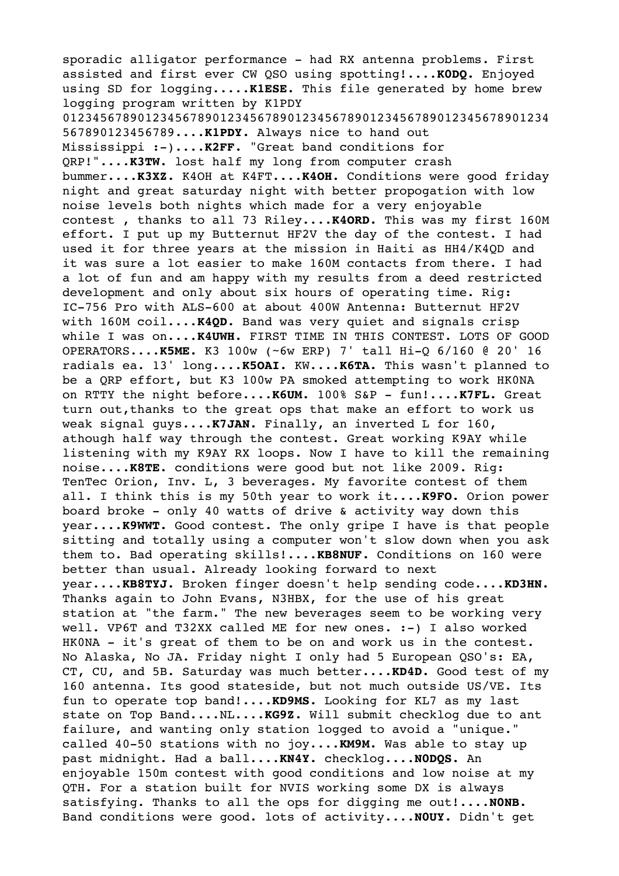sporadic alligator performance - had RX antenna problems. First assisted and first ever CW QSO using spotting!....**K0DQ.** Enjoyed using SD for logging.....**K1ESE.** This file generated by home brew logging program written by K1PDY 01234567890123456789012345678901234567890123456789012345678901234 567890123456789....**K1PDY.** Always nice to hand out Mississippi :-)....**K2FF.** "Great band conditions for QRP!"....**K3TW.** lost half my long from computer crash bummer....**K3XZ.** K4OH at K4FT....**K4OH.** Conditions were good friday night and great saturday night with better propogation with low noise levels both nights which made for a very enjoyable contest , thanks to all 73 Riley....**K4ORD.** This was my first 160M effort. I put up my Butternut HF2V the day of the contest. I had used it for three years at the mission in Haiti as HH4/K4QD and it was sure a lot easier to make 160M contacts from there. I had a lot of fun and am happy with my results from a deed restricted development and only about six hours of operating time. Rig: IC-756 Pro with ALS-600 at about 400W Antenna: Butternut HF2V with 160M coil....**K4QD.** Band was very quiet and signals crisp while I was on....**K4UWH.** FIRST TIME IN THIS CONTEST. LOTS OF GOOD OPERATORS....**K5ME.** K3 100w (~6w ERP) 7' tall Hi-Q 6/160 @ 20' 16 radials ea. 13' long....**K5OAI.** KW....**K6TA.** This wasn't planned to be a QRP effort, but K3 100w PA smoked attempting to work HK0NA on RTTY the night before....**K6UM.** 100% S&P - fun!....**K7FL.** Great turn out,thanks to the great ops that make an effort to work us weak signal guys....**K7JAN.** Finally, an inverted L for 160, athough half way through the contest. Great working K9AY while listening with my K9AY RX loops. Now I have to kill the remaining noise....**K8TE.** conditions were good but not like 2009. Rig: TenTec Orion, Inv. L, 3 beverages. My favorite contest of them all. I think this is my 50th year to work it....**K9FO.** Orion power board broke - only 40 watts of drive & activity way down this year....**K9WWT.** Good contest. The only gripe I have is that people sitting and totally using a computer won't slow down when you ask them to. Bad operating skills!....**KB8NUF.** Conditions on 160 were better than usual. Already looking forward to next year....**KB8TYJ.** Broken finger doesn't help sending code....**KD3HN.** Thanks again to John Evans, N3HBX, for the use of his great station at "the farm." The new beverages seem to be working very well. VP6T and T32XX called ME for new ones. :-) I also worked HK0NA - it's great of them to be on and work us in the contest. No Alaska, No JA. Friday night I only had 5 European QSO's: EA, CT, CU, and 5B. Saturday was much better....**KD4D.** Good test of my 160 antenna. Its good stateside, but not much outside US/VE. Its fun to operate top band!....**KD9MS.** Looking for KL7 as my last state on Top Band....NL....**KG9Z.** Will submit checklog due to ant failure, and wanting only station logged to avoid a "unique." called 40-50 stations with no joy....**KM9M.** Was able to stay up past midnight. Had a ball....**KN4Y.** checklog....**N0DQS.** An enjoyable 150m contest with good conditions and low noise at my QTH. For a station built for NVIS working some DX is always satisfying. Thanks to all the ops for digging me out!....**N0NB.** Band conditions were good. lots of activity....**N0UY.** Didn't get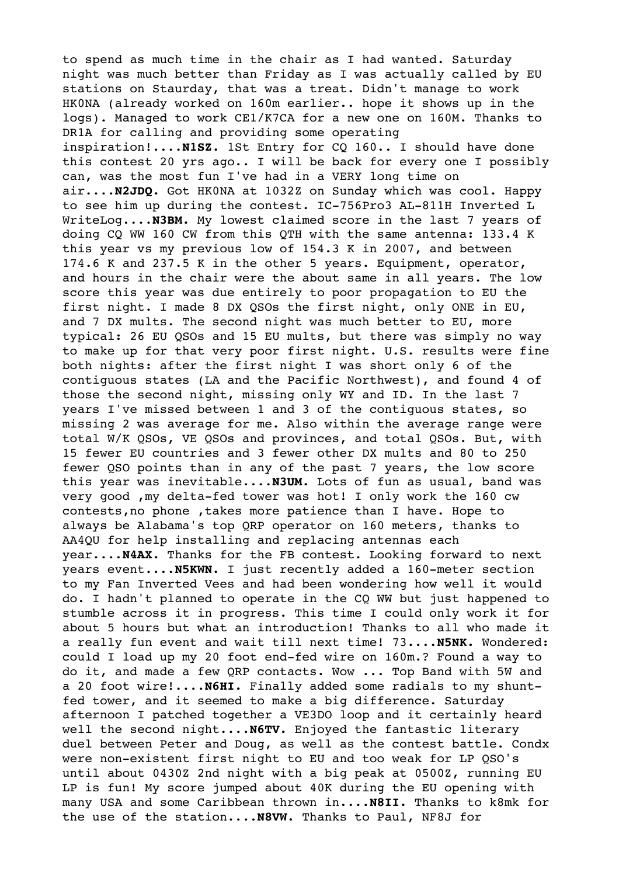to spend as much time in the chair as I had wanted. Saturday night was much better than Friday as I was actually called by EU stations on Staurday, that was a treat. Didn't manage to work HK0NA (already worked on 160m earlier.. hope it shows up in the logs). Managed to work CE1/K7CA for a new one on 160M. Thanks to DR1A for calling and providing some operating inspiration!....**N1SZ.** 1St Entry for CQ 160.. I should have done this contest 20 yrs ago.. I will be back for every one I possibly can, was the most fun I've had in a VERY long time on air....**N2JDQ.** Got HK0NA at 1032Z on Sunday which was cool. Happy to see him up during the contest. IC-756Pro3 AL-811H Inverted L WriteLog....**N3BM.** My lowest claimed score in the last 7 years of doing CQ WW 160 CW from this QTH with the same antenna: 133.4 K this year vs my previous low of 154.3 K in 2007, and between 174.6 K and 237.5 K in the other 5 years. Equipment, operator, and hours in the chair were the about same in all years. The low score this year was due entirely to poor propagation to EU the first night. I made 8 DX QSOs the first night, only ONE in EU, and 7 DX mults. The second night was much better to EU, more typical: 26 EU QSOs and 15 EU mults, but there was simply no way to make up for that very poor first night. U.S. results were fine both nights: after the first night I was short only 6 of the contiguous states (LA and the Pacific Northwest), and found 4 of those the second night, missing only WY and ID. In the last 7 years I've missed between 1 and 3 of the contiguous states, so missing 2 was average for me. Also within the average range were total W/K QSOs, VE QSOs and provinces, and total QSOs. But, with 15 fewer EU countries and 3 fewer other DX mults and 80 to 250 fewer QSO points than in any of the past 7 years, the low score this year was inevitable....**N3UM.** Lots of fun as usual, band was very good ,my delta-fed tower was hot! I only work the 160 cw contests,no phone ,takes more patience than I have. Hope to always be Alabama's top QRP operator on 160 meters, thanks to AA4QU for help installing and replacing antennas each year....**N4AX.** Thanks for the FB contest. Looking forward to next years event....**N5KWN.** I just recently added a 160-meter section to my Fan Inverted Vees and had been wondering how well it would do. I hadn't planned to operate in the CQ WW but just happened to stumble across it in progress. This time I could only work it for about 5 hours but what an introduction! Thanks to all who made it a really fun event and wait till next time! 73....**N5NK.** Wondered: could I load up my 20 foot end-fed wire on 160m.? Found a way to do it, and made a few QRP contacts. Wow ... Top Band with 5W and a 20 foot wire!....**N6HI.** Finally added some radials to my shuntfed tower, and it seemed to make a big difference. Saturday afternoon I patched together a VE3DO loop and it certainly heard well the second night....**N6TV.** Enjoyed the fantastic literary duel between Peter and Doug, as well as the contest battle. Condx were non-existent first night to EU and too weak for LP QSO's until about 0430Z 2nd night with a big peak at 0500Z, running EU LP is fun! My score jumped about 40K during the EU opening with many USA and some Caribbean thrown in....**N8II.** Thanks to k8mk for the use of the station....**N8VW.** Thanks to Paul, NF8J for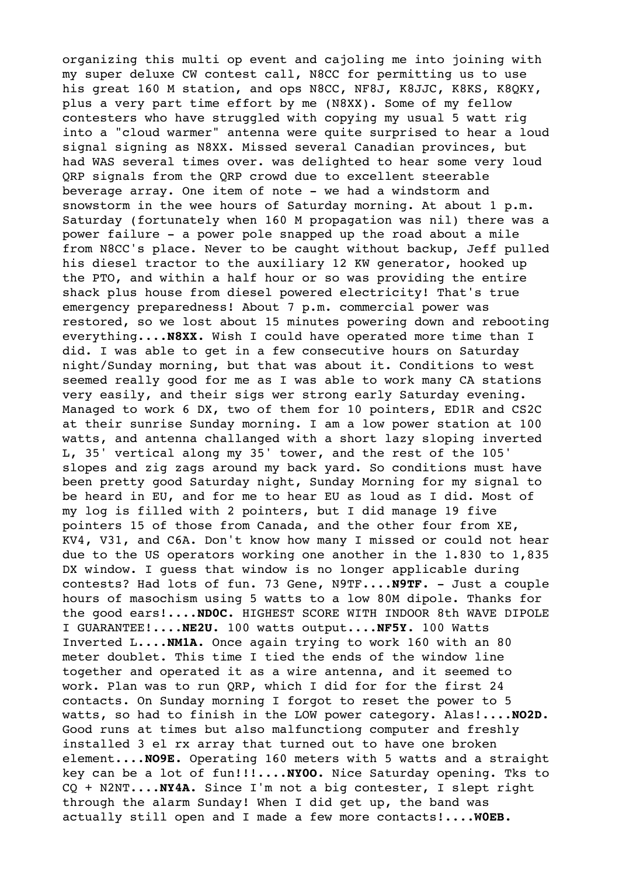organizing this multi op event and cajoling me into joining with my super deluxe CW contest call, N8CC for permitting us to use his great 160 M station, and ops N8CC, NF8J, K8JJC, K8KS, K8QKY, plus a very part time effort by me (N8XX). Some of my fellow contesters who have struggled with copying my usual 5 watt rig into a "cloud warmer" antenna were quite surprised to hear a loud signal signing as N8XX. Missed several Canadian provinces, but had WAS several times over. was delighted to hear some very loud QRP signals from the QRP crowd due to excellent steerable beverage array. One item of note - we had a windstorm and snowstorm in the wee hours of Saturday morning. At about 1 p.m. Saturday (fortunately when 160 M propagation was nil) there was a power failure - a power pole snapped up the road about a mile from N8CC's place. Never to be caught without backup, Jeff pulled his diesel tractor to the auxiliary 12 KW generator, hooked up the PTO, and within a half hour or so was providing the entire shack plus house from diesel powered electricity! That's true emergency preparedness! About 7 p.m. commercial power was restored, so we lost about 15 minutes powering down and rebooting everything....**N8XX.** Wish I could have operated more time than I did. I was able to get in a few consecutive hours on Saturday night/Sunday morning, but that was about it. Conditions to west seemed really good for me as I was able to work many CA stations very easily, and their sigs wer strong early Saturday evening. Managed to work 6 DX, two of them for 10 pointers, ED1R and CS2C at their sunrise Sunday morning. I am a low power station at 100 watts, and antenna challanged with a short lazy sloping inverted L, 35' vertical along my 35' tower, and the rest of the 105' slopes and zig zags around my back yard. So conditions must have been pretty good Saturday night, Sunday Morning for my signal to be heard in EU, and for me to hear EU as loud as I did. Most of my log is filled with 2 pointers, but I did manage 19 five pointers 15 of those from Canada, and the other four from XE, KV4, V31, and C6A. Don't know how many I missed or could not hear due to the US operators working one another in the 1.830 to 1,835 DX window. I guess that window is no longer applicable during contests? Had lots of fun. 73 Gene, N9TF....**N9TF.** - Just a couple hours of masochism using 5 watts to a low 80M dipole. Thanks for the good ears!....**ND0C.** HIGHEST SCORE WITH INDOOR 8th WAVE DIPOLE I GUARANTEE!....**NE2U.** 100 watts output....**NF5Y.** 100 Watts Inverted L....**NM1A.** Once again trying to work 160 with an 80 meter doublet. This time I tied the ends of the window line together and operated it as a wire antenna, and it seemed to work. Plan was to run QRP, which I did for for the first 24 contacts. On Sunday morning I forgot to reset the power to 5 watts, so had to finish in the LOW power category. Alas!....**NO2D.** Good runs at times but also malfunctiong computer and freshly installed 3 el rx array that turned out to have one broken element....**NO9E.** Operating 160 meters with 5 watts and a straight key can be a lot of fun!!!....**NY0O.** Nice Saturday opening. Tks to CQ + N2NT....**NY4A.** Since I'm not a big contester, I slept right through the alarm Sunday! When I did get up, the band was actually still open and I made a few more contacts!....**W0EB.**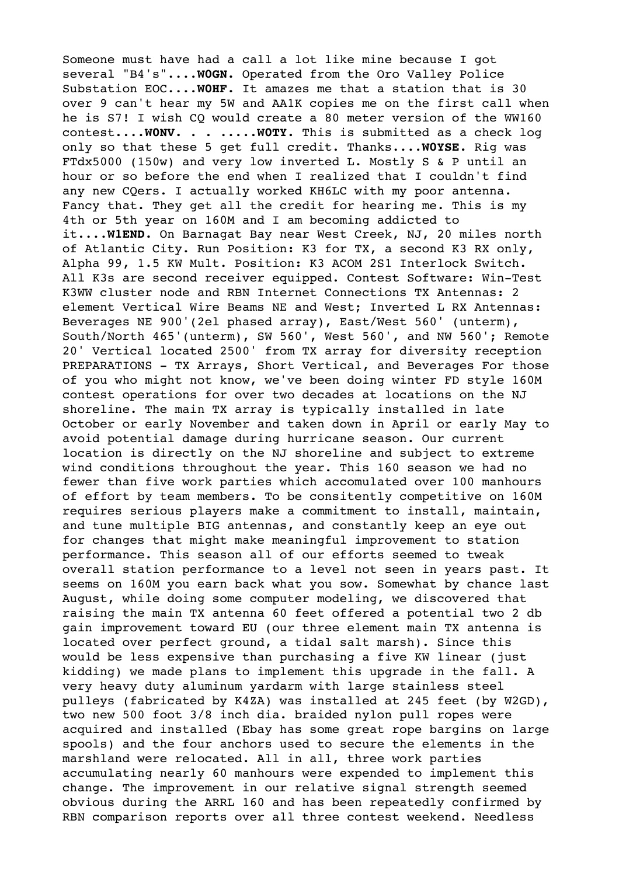Someone must have had a call a lot like mine because I got several "B4's"....**W0GN.** Operated from the Oro Valley Police Substation EOC....**W0HF.** It amazes me that a station that is 30 over 9 can't hear my 5W and AA1K copies me on the first call when he is S7! I wish CQ would create a 80 meter version of the WW160 contest....**W0NV.** . . .....**W0TY.** This is submitted as a check log only so that these 5 get full credit. Thanks....**W0YSE.** Rig was FTdx5000 (150w) and very low inverted L. Mostly S & P until an hour or so before the end when I realized that I couldn't find any new CQers. I actually worked KH6LC with my poor antenna. Fancy that. They get all the credit for hearing me. This is my 4th or 5th year on 160M and I am becoming addicted to it....**W1END.** On Barnagat Bay near West Creek, NJ, 20 miles north of Atlantic City. Run Position: K3 for TX, a second K3 RX only, Alpha 99, 1.5 KW Mult. Position: K3 ACOM 2S1 Interlock Switch. All K3s are second receiver equipped. Contest Software: Win-Test K3WW cluster node and RBN Internet Connections TX Antennas: 2 element Vertical Wire Beams NE and West; Inverted L RX Antennas: Beverages NE 900'(2el phased array), East/West 560' (unterm), South/North 465'(unterm), SW 560', West 560', and NW 560'; Remote 20' Vertical located 2500' from TX array for diversity reception PREPARATIONS - TX Arrays, Short Vertical, and Beverages For those of you who might not know, we've been doing winter FD style 160M contest operations for over two decades at locations on the NJ shoreline. The main TX array is typically installed in late October or early November and taken down in April or early May to avoid potential damage during hurricane season. Our current location is directly on the NJ shoreline and subject to extreme wind conditions throughout the year. This 160 season we had no fewer than five work parties which accomulated over 100 manhours of effort by team members. To be consitently competitive on 160M requires serious players make a commitment to install, maintain, and tune multiple BIG antennas, and constantly keep an eye out for changes that might make meaningful improvement to station performance. This season all of our efforts seemed to tweak overall station performance to a level not seen in years past. It seems on 160M you earn back what you sow. Somewhat by chance last August, while doing some computer modeling, we discovered that raising the main TX antenna 60 feet offered a potential two 2 db gain improvement toward EU (our three element main TX antenna is located over perfect ground, a tidal salt marsh). Since this would be less expensive than purchasing a five KW linear (just kidding) we made plans to implement this upgrade in the fall. A very heavy duty aluminum yardarm with large stainless steel pulleys (fabricated by K4ZA) was installed at 245 feet (by W2GD), two new 500 foot 3/8 inch dia. braided nylon pull ropes were acquired and installed (Ebay has some great rope bargins on large spools) and the four anchors used to secure the elements in the marshland were relocated. All in all, three work parties accumulating nearly 60 manhours were expended to implement this change. The improvement in our relative signal strength seemed obvious during the ARRL 160 and has been repeatedly confirmed by RBN comparison reports over all three contest weekend. Needless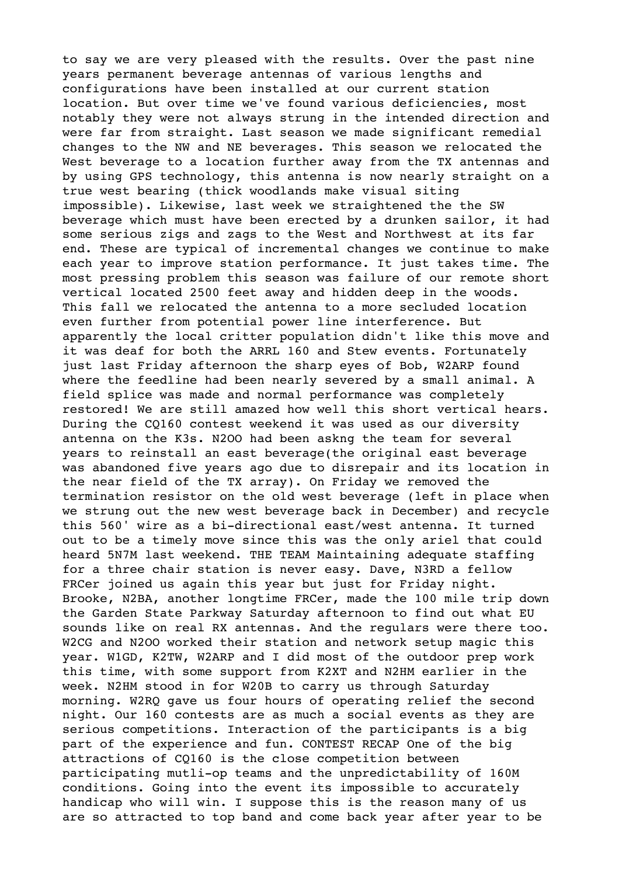to say we are very pleased with the results. Over the past nine years permanent beverage antennas of various lengths and configurations have been installed at our current station location. But over time we've found various deficiencies, most notably they were not always strung in the intended direction and were far from straight. Last season we made significant remedial changes to the NW and NE beverages. This season we relocated the West beverage to a location further away from the TX antennas and by using GPS technology, this antenna is now nearly straight on a true west bearing (thick woodlands make visual siting impossible). Likewise, last week we straightened the the SW beverage which must have been erected by a drunken sailor, it had some serious zigs and zags to the West and Northwest at its far end. These are typical of incremental changes we continue to make each year to improve station performance. It just takes time. The most pressing problem this season was failure of our remote short vertical located 2500 feet away and hidden deep in the woods. This fall we relocated the antenna to a more secluded location even further from potential power line interference. But apparently the local critter population didn't like this move and it was deaf for both the ARRL 160 and Stew events. Fortunately just last Friday afternoon the sharp eyes of Bob, W2ARP found where the feedline had been nearly severed by a small animal. A field splice was made and normal performance was completely restored! We are still amazed how well this short vertical hears. During the CQ160 contest weekend it was used as our diversity antenna on the K3s. N2OO had been askng the team for several years to reinstall an east beverage(the original east beverage was abandoned five years ago due to disrepair and its location in the near field of the TX array). On Friday we removed the termination resistor on the old west beverage (left in place when we strung out the new west beverage back in December) and recycle this 560' wire as a bi-directional east/west antenna. It turned out to be a timely move since this was the only ariel that could heard 5N7M last weekend. THE TEAM Maintaining adequate staffing for a three chair station is never easy. Dave, N3RD a fellow FRCer joined us again this year but just for Friday night. Brooke, N2BA, another longtime FRCer, made the 100 mile trip down the Garden State Parkway Saturday afternoon to find out what EU sounds like on real RX antennas. And the regulars were there too. W2CG and N2OO worked their station and network setup magic this year. W1GD, K2TW, W2ARP and I did most of the outdoor prep work this time, with some support from K2XT and N2HM earlier in the week. N2HM stood in for W20B to carry us through Saturday morning. W2RQ gave us four hours of operating relief the second night. Our 160 contests are as much a social events as they are serious competitions. Interaction of the participants is a big part of the experience and fun. CONTEST RECAP One of the big attractions of CQ160 is the close competition between participating mutli-op teams and the unpredictability of 160M conditions. Going into the event its impossible to accurately handicap who will win. I suppose this is the reason many of us are so attracted to top band and come back year after year to be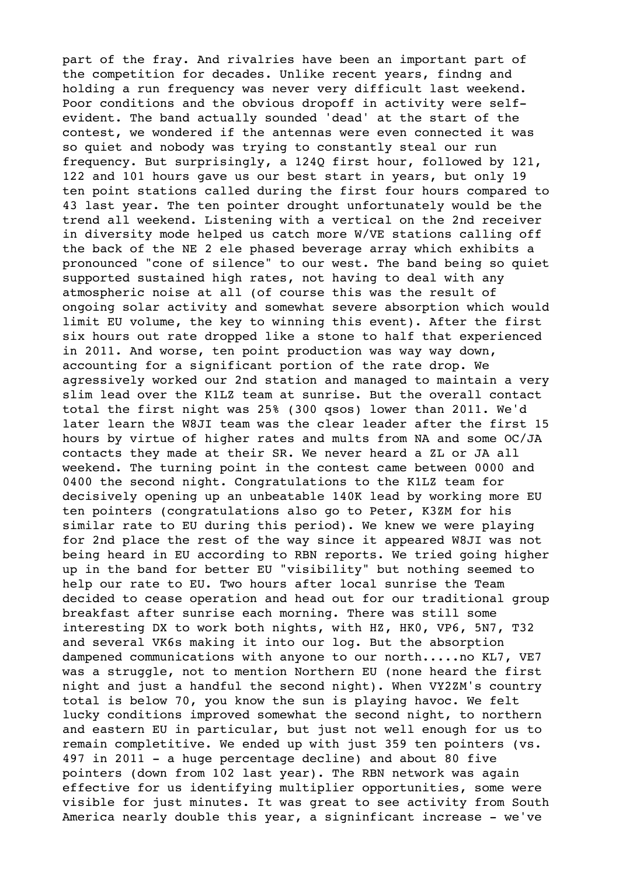part of the fray. And rivalries have been an important part of the competition for decades. Unlike recent years, findng and holding a run frequency was never very difficult last weekend. Poor conditions and the obvious dropoff in activity were selfevident. The band actually sounded 'dead' at the start of the contest, we wondered if the antennas were even connected it was so quiet and nobody was trying to constantly steal our run frequency. But surprisingly, a 124Q first hour, followed by 121, 122 and 101 hours gave us our best start in years, but only 19 ten point stations called during the first four hours compared to 43 last year. The ten pointer drought unfortunately would be the trend all weekend. Listening with a vertical on the 2nd receiver in diversity mode helped us catch more W/VE stations calling off the back of the NE 2 ele phased beverage array which exhibits a pronounced "cone of silence" to our west. The band being so quiet supported sustained high rates, not having to deal with any atmospheric noise at all (of course this was the result of ongoing solar activity and somewhat severe absorption which would limit EU volume, the key to winning this event). After the first six hours out rate dropped like a stone to half that experienced in 2011. And worse, ten point production was way way down, accounting for a significant portion of the rate drop. We agressively worked our 2nd station and managed to maintain a very slim lead over the K1LZ team at sunrise. But the overall contact total the first night was 25% (300 qsos) lower than 2011. We'd later learn the W8JI team was the clear leader after the first 15 hours by virtue of higher rates and mults from NA and some OC/JA contacts they made at their SR. We never heard a ZL or JA all weekend. The turning point in the contest came between 0000 and 0400 the second night. Congratulations to the K1LZ team for decisively opening up an unbeatable 140K lead by working more EU ten pointers (congratulations also go to Peter, K3ZM for his similar rate to EU during this period). We knew we were playing for 2nd place the rest of the way since it appeared W8JI was not being heard in EU according to RBN reports. We tried going higher up in the band for better EU "visibility" but nothing seemed to help our rate to EU. Two hours after local sunrise the Team decided to cease operation and head out for our traditional group breakfast after sunrise each morning. There was still some interesting DX to work both nights, with HZ, HK0, VP6, 5N7, T32 and several VK6s making it into our log. But the absorption dampened communications with anyone to our north.....no KL7, VE7 was a struggle, not to mention Northern EU (none heard the first night and just a handful the second night). When VY2ZM's country total is below 70, you know the sun is playing havoc. We felt lucky conditions improved somewhat the second night, to northern and eastern EU in particular, but just not well enough for us to remain completitive. We ended up with just 359 ten pointers (vs. 497 in 2011 - a huge percentage decline) and about 80 five pointers (down from 102 last year). The RBN network was again effective for us identifying multiplier opportunities, some were visible for just minutes. It was great to see activity from South America nearly double this year, a signinficant increase - we've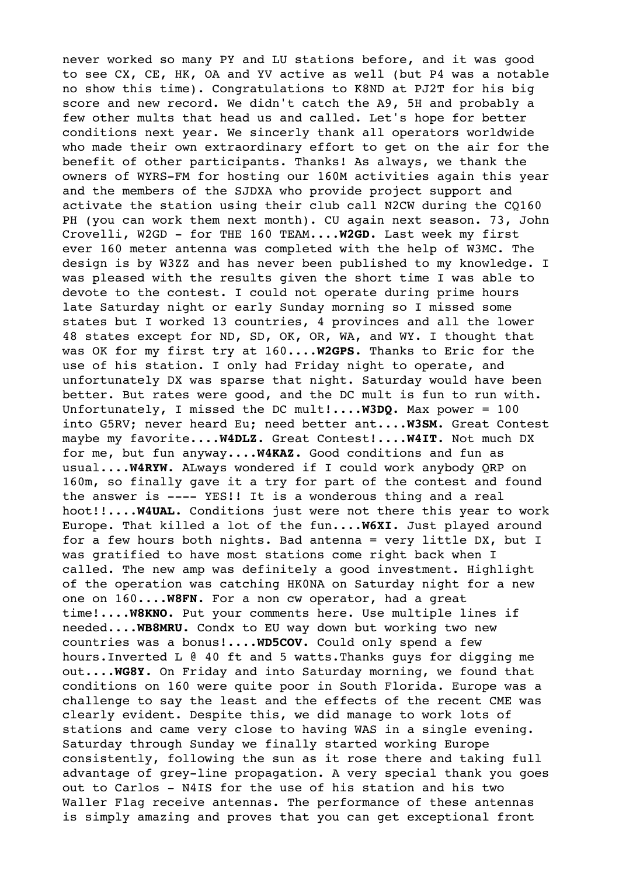never worked so many PY and LU stations before, and it was good to see CX, CE, HK, OA and YV active as well (but P4 was a notable no show this time). Congratulations to K8ND at PJ2T for his big score and new record. We didn't catch the A9, 5H and probably a few other mults that head us and called. Let's hope for better conditions next year. We sincerly thank all operators worldwide who made their own extraordinary effort to get on the air for the benefit of other participants. Thanks! As always, we thank the owners of WYRS-FM for hosting our 160M activities again this year and the members of the SJDXA who provide project support and activate the station using their club call N2CW during the CQ160 PH (you can work them next month). CU again next season. 73, John Crovelli, W2GD - for THE 160 TEAM....**W2GD.** Last week my first ever 160 meter antenna was completed with the help of W3MC. The design is by W3ZZ and has never been published to my knowledge. I was pleased with the results given the short time I was able to devote to the contest. I could not operate during prime hours late Saturday night or early Sunday morning so I missed some states but I worked 13 countries, 4 provinces and all the lower 48 states except for ND, SD, OK, OR, WA, and WY. I thought that was OK for my first try at 160....**W2GPS.** Thanks to Eric for the use of his station. I only had Friday night to operate, and unfortunately DX was sparse that night. Saturday would have been better. But rates were good, and the DC mult is fun to run with. Unfortunately, I missed the DC mult!....**W3DQ.** Max power = 100 into G5RV; never heard Eu; need better ant....**W3SM.** Great Contest maybe my favorite....**W4DLZ.** Great Contest!....**W4IT.** Not much DX for me, but fun anyway....**W4KAZ.** Good conditions and fun as usual....**W4RYW.** ALways wondered if I could work anybody QRP on 160m, so finally gave it a try for part of the contest and found the answer is ---- YES!! It is a wonderous thing and a real hoot!!....**W4UAL.** Conditions just were not there this year to work Europe. That killed a lot of the fun....**W6XI.** Just played around for a few hours both nights. Bad antenna = very little DX, but I was gratified to have most stations come right back when I called. The new amp was definitely a good investment. Highlight of the operation was catching HK0NA on Saturday night for a new one on 160....**W8FN.** For a non cw operator, had a great time!....**W8KNO.** Put your comments here. Use multiple lines if needed....**WB8MRU.** Condx to EU way down but working two new countries was a bonus!....**WD5COV.** Could only spend a few hours.Inverted L @ 40 ft and 5 watts.Thanks guys for digging me out....**WG8Y.** On Friday and into Saturday morning, we found that conditions on 160 were quite poor in South Florida. Europe was a challenge to say the least and the effects of the recent CME was clearly evident. Despite this, we did manage to work lots of stations and came very close to having WAS in a single evening. Saturday through Sunday we finally started working Europe consistently, following the sun as it rose there and taking full advantage of grey-line propagation. A very special thank you goes out to Carlos - N4IS for the use of his station and his two Waller Flag receive antennas. The performance of these antennas is simply amazing and proves that you can get exceptional front